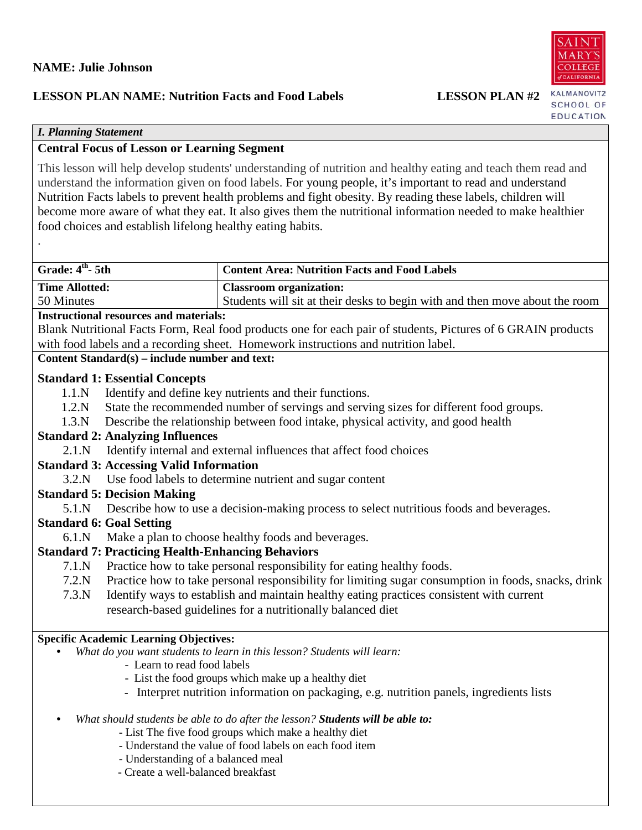# **LESSON PLAN NAME: Nutrition Facts and Food Labels LESSON PLAN #2**

KALMANOVITZ SCHOOL OF EDUCATION

# *I. Planning Statement*

.

# **Central Focus of Lesson or Learning Segment**

This lesson will help develop students' understanding of nutrition and healthy eating and teach them read and understand the information given on food labels. For young people, it's important to read and understand Nutrition Facts labels to prevent health problems and fight obesity. By reading these labels, children will become more aware of what they eat. It also gives them the nutritional information needed to make healthier food choices and establish lifelong healthy eating habits.

| Grade: $4th$ - 5th    | <b>Content Area: Nutrition Facts and Food Labels</b>                        |
|-----------------------|-----------------------------------------------------------------------------|
| <b>Time Allotted:</b> | Classroom organization:                                                     |
| 50 Minutes            | Students will sit at their desks to begin with and then move about the room |

# **Instructional resources and materials:**

Blank Nutritional Facts Form, Real food products one for each pair of students, Pictures of 6 GRAIN products with food labels and a recording sheet. Homework instructions and nutrition label.

# **Content Standard(s) – include number and text:**

# **Standard 1: Essential Concepts**

- 1.1.N Identify and define key nutrients and their functions.
- 1.2.N State the recommended number of servings and serving sizes for different food groups.
- 1.3.N Describe the relationship between food intake, physical activity, and good health

# **Standard 2: Analyzing Influences**

2.1.N Identify internal and external influences that affect food choices

# **Standard 3: Accessing Valid Information**

3.2.N Use food labels to determine nutrient and sugar content

# **Standard 5: Decision Making**

5.1.N Describe how to use a decision-making process to select nutritious foods and beverages.

# **Standard 6: Goal Setting**

6.1.N Make a plan to choose healthy foods and beverages.

# **Standard 7: Practicing Health-Enhancing Behaviors**

- 7.1.N Practice how to take personal responsibility for eating healthy foods.
- 7.2.N Practice how to take personal responsibility for limiting sugar consumption in foods, snacks, drink
- 7.3.N Identify ways to establish and maintain healthy eating practices consistent with current research-based guidelines for a nutritionally balanced diet

# **Specific Academic Learning Objectives:**

- *What do you want students to learn in this lesson? Students will learn:*
	- Learn to read food labels
	- List the food groups which make up a healthy diet
	- Interpret nutrition information on packaging, e.g. nutrition panels, ingredients lists

# • *What should students be able to do after the lesson? Students will be able to:*

- List The five food groups which make a healthy diet
- Understand the value of food labels on each food item
- Understanding of a balanced meal
- Create a well-balanced breakfast

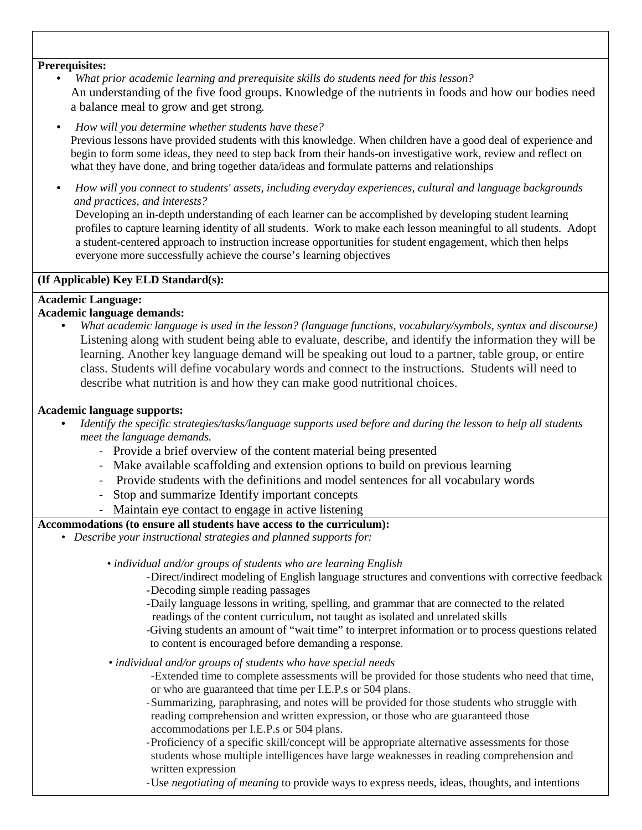#### **Prerequisites:**

- *What prior academic learning and prerequisite skills do students need for this lesson?*  An understanding of the five food groups. Knowledge of the nutrients in foods and how our bodies need a balance meal to grow and get strong*.*
- *How will you determine whether students have these?* Previous lessons have provided students with this knowledge. When children have a good deal of experience and begin to form some ideas, they need to step back from their hands-on investigative work, review and reflect on what they have done, and bring together data/ideas and formulate patterns and relationships
- *How will you connect to students' assets, including everyday experiences, cultural and language backgrounds and practices, and interests?*

Developing an in-depth understanding of each learner can be accomplished by developing student learning profiles to capture learning identity of all students. Work to make each lesson meaningful to all students. Adopt a student-centered approach to instruction increase opportunities for student engagement, which then helps everyone more successfully achieve the course's learning objectives

#### **(If Applicable) Key ELD Standard(s):**

# **Academic Language:**

# **Academic language demands:**

• *What academic language is used in the lesson? (language functions, vocabulary/symbols, syntax and discourse)* Listening along with student being able to evaluate, describe, and identify the information they will be learning. Another key language demand will be speaking out loud to a partner, table group, or entire class. Students will define vocabulary words and connect to the instructions. Students will need to describe what nutrition is and how they can make good nutritional choices.

# **Academic language supports:**

- *Identify the specific strategies/tasks/language supports used before and during the lesson to help all students meet the language demands.* 
	- Provide a brief overview of the content material being presented
	- Make available scaffolding and extension options to build on previous learning
	- Provide students with the definitions and model sentences for all vocabulary words
	- Stop and summarize Identify important concepts
	- Maintain eye contact to engage in active listening

# **Accommodations (to ensure all students have access to the curriculum):**

*• Describe your instructional strategies and planned supports for:*

 *• individual and/or groups of students who are learning English*

- -Direct/indirect modeling of English language structures and conventions with corrective feedback -Decoding simple reading passages
- -Daily language lessons in writing, spelling, and grammar that are connected to the related readings of the content curriculum, not taught as isolated and unrelated skills
- -Giving students an amount of "wait time" to interpret information or to process questions related to content is encouraged before demanding a response.
- *individual and/or groups of students who have special needs*
	- -Extended time to complete assessments will be provided for those students who need that time, or who are guaranteed that time per I.E.P.s or 504 plans.
	- -Summarizing, paraphrasing, and notes will be provided for those students who struggle with reading comprehension and written expression, or those who are guaranteed those accommodations per I.E.P.s or 504 plans.
	- -Proficiency of a specific skill/concept will be appropriate alternative assessments for those students whose multiple intelligences have large weaknesses in reading comprehension and written expression
	- -Use *negotiating of meaning* to provide ways to express needs, ideas, thoughts, and intentions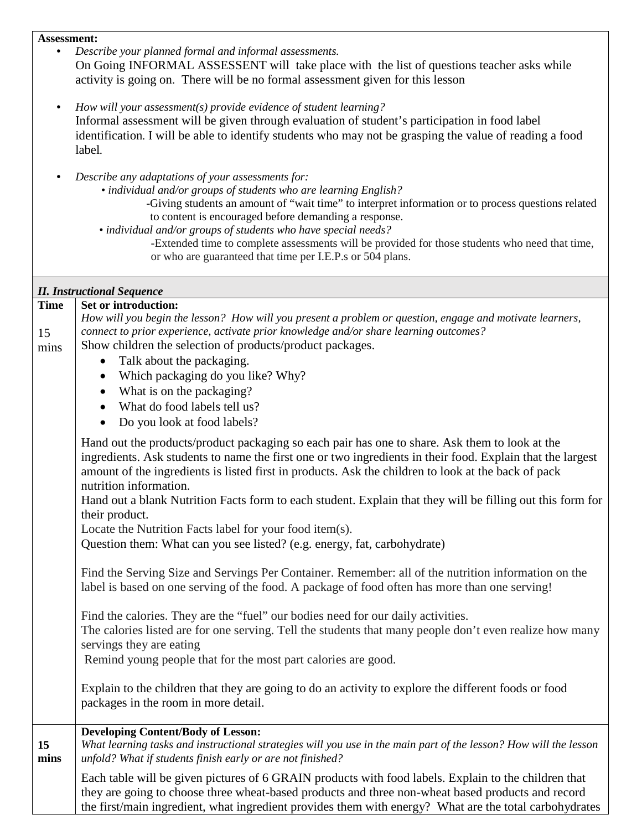#### **Assessment:**

- *Describe your planned formal and informal assessments.* On Going INFORMAL ASSESSENT will take place with the list of questions teacher asks while activity is going on. There will be no formal assessment given for this lesson
- *How will your assessment(s) provide evidence of student learning?* Informal assessment will be given through evaluation of student's participation in food label identification*.* I will be able to identify students who may not be grasping the value of reading a food label*.*
- *Describe any adaptations of your assessments for:*
	- *individual and/or groups of students who are learning English?*

-Giving students an amount of "wait time" to interpret information or to process questions related to content is encouraged before demanding a response.

*• individual and/or groups of students who have special needs?*

-Extended time to complete assessments will be provided for those students who need that time, or who are guaranteed that time per I.E.P.s or 504 plans.

| <b>II. Instructional Sequence</b> |                                                                                                                                                                                                                                                                                                                                                                                                                                                             |
|-----------------------------------|-------------------------------------------------------------------------------------------------------------------------------------------------------------------------------------------------------------------------------------------------------------------------------------------------------------------------------------------------------------------------------------------------------------------------------------------------------------|
| <b>Time</b>                       | Set or introduction:                                                                                                                                                                                                                                                                                                                                                                                                                                        |
|                                   | How will you begin the lesson? How will you present a problem or question, engage and motivate learners,                                                                                                                                                                                                                                                                                                                                                    |
| 15                                | connect to prior experience, activate prior knowledge and/or share learning outcomes?                                                                                                                                                                                                                                                                                                                                                                       |
| mins                              | Show children the selection of products/product packages.                                                                                                                                                                                                                                                                                                                                                                                                   |
|                                   | Talk about the packaging.<br>$\bullet$                                                                                                                                                                                                                                                                                                                                                                                                                      |
|                                   | Which packaging do you like? Why?<br>$\bullet$                                                                                                                                                                                                                                                                                                                                                                                                              |
|                                   | What is on the packaging?                                                                                                                                                                                                                                                                                                                                                                                                                                   |
|                                   | What do food labels tell us?                                                                                                                                                                                                                                                                                                                                                                                                                                |
|                                   | Do you look at food labels?                                                                                                                                                                                                                                                                                                                                                                                                                                 |
|                                   | Hand out the products/product packaging so each pair has one to share. Ask them to look at the<br>ingredients. Ask students to name the first one or two ingredients in their food. Explain that the largest<br>amount of the ingredients is listed first in products. Ask the children to look at the back of pack<br>nutrition information.<br>Hand out a blank Nutrition Facts form to each student. Explain that they will be filling out this form for |
|                                   | their product.<br>Locate the Nutrition Facts label for your food item(s).                                                                                                                                                                                                                                                                                                                                                                                   |
|                                   | Question them: What can you see listed? (e.g. energy, fat, carbohydrate)                                                                                                                                                                                                                                                                                                                                                                                    |
|                                   |                                                                                                                                                                                                                                                                                                                                                                                                                                                             |
|                                   | Find the Serving Size and Servings Per Container. Remember: all of the nutrition information on the<br>label is based on one serving of the food. A package of food often has more than one serving!                                                                                                                                                                                                                                                        |
|                                   | Find the calories. They are the "fuel" our bodies need for our daily activities.<br>The calories listed are for one serving. Tell the students that many people don't even realize how many<br>servings they are eating<br>Remind young people that for the most part calories are good.                                                                                                                                                                    |
|                                   |                                                                                                                                                                                                                                                                                                                                                                                                                                                             |
|                                   | Explain to the children that they are going to do an activity to explore the different foods or food<br>packages in the room in more detail.                                                                                                                                                                                                                                                                                                                |
|                                   | <b>Developing Content/Body of Lesson:</b>                                                                                                                                                                                                                                                                                                                                                                                                                   |
| 15<br>mins                        | What learning tasks and instructional strategies will you use in the main part of the lesson? How will the lesson<br>unfold? What if students finish early or are not finished?                                                                                                                                                                                                                                                                             |
|                                   | Each table will be given pictures of 6 GRAIN products with food labels. Explain to the children that<br>they are going to choose three wheat-based products and three non-wheat based products and record<br>the first/main ingredient, what ingredient provides them with energy? What are the total carbohydrates                                                                                                                                         |